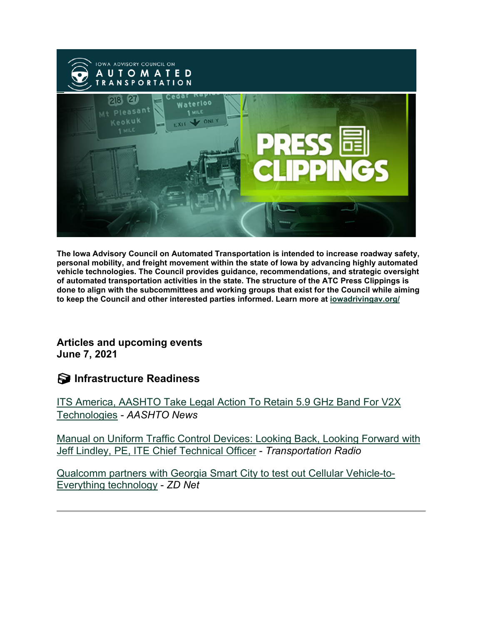

**The Iowa Advisory Council on Automated Transportation is intended to increase roadway safety, personal mobility, and freight movement within the state of Iowa by advancing highly automated vehicle technologies. The Council provides guidance, recommendations, and strategic oversight of automated transportation activities in the state. The structure of the ATC Press Clippings is done to align with the subcommittees and working groups that exist for the Council while aiming to keep the Council and other interested parties informed. Learn more at [iowadrivingav.org/](https://iowadrivingav.org/?utm_medium=email&utm_source=govdelivery)**

**Articles and upcoming events June 7, 2021**

**Infrastructure Readiness**

[ITS America, AASHTO Take Legal Action To Retain 5.9 GHz Band For](http://aashtonews.wpengine.com/2021/06/02/its-america-aashto-take-legal-action-to-retain-5-9-ghz-band-for-v2x-technologies/?utm_medium=email&utm_source=govdelivery) V2X [Technologies](http://aashtonews.wpengine.com/2021/06/02/its-america-aashto-take-legal-action-to-retain-5-9-ghz-band-for-v2x-technologies/?utm_medium=email&utm_source=govdelivery) - *AASHTO News*

[Manual on Uniform Traffic Control Devices: Looking Back, Looking Forward with](https://transportationradio.wordpress.com/2021/05/31/manual-on-uniform-traffic-control-devices-looking-back-looking-forward-with-jeff-lindley-p-e-ite-chief-technical-officer/?utm_medium=email&utm_source=govdelivery)  [Jeff Lindley, PE, ITE Chief Technical Officer](https://transportationradio.wordpress.com/2021/05/31/manual-on-uniform-traffic-control-devices-looking-back-looking-forward-with-jeff-lindley-p-e-ite-chief-technical-officer/?utm_medium=email&utm_source=govdelivery) - *Transportation Radio*

[Qualcomm partners with Georgia Smart City to test out Cellular Vehicle-to-](https://www.zdnet.com/article/qualcomm-partners-with-georgia-smart-city-to-test-out-cellular-vehicle-to-everything-technology/?utm_medium=email&utm_source=govdelivery)[Everything technology](https://www.zdnet.com/article/qualcomm-partners-with-georgia-smart-city-to-test-out-cellular-vehicle-to-everything-technology/?utm_medium=email&utm_source=govdelivery) - *ZD Net*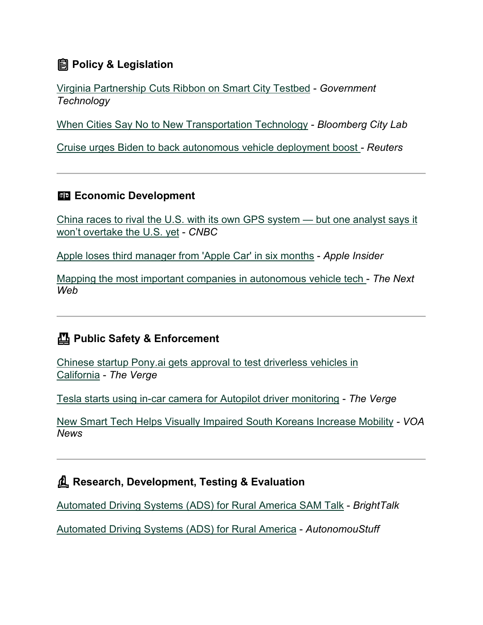## **Policy & Legislation**

[Virginia Partnership Cuts Ribbon on Smart City Testbed](https://www.govtech.com/smart-cities/virginia-partnership-cuts-ribbon-on-smart-city-testbed?utm_medium=email&utm_source=govdelivery) - *Government Technology*

[When Cities Say No to New Transportation Technology](https://www.bloomberg.com/news/articles/2021-05-19/why-cities-resist-new-transportation-technology?utm_medium=email&utm_source=govdelivery) - *Bloomberg City Lab*

[Cruise urges Biden to back autonomous vehicle deployment boost](https://www.reuters.com/article/autonomous-cruise-biden/cruise-urges-biden-to-back-autonomous-vehicle-deployment-boost-idUSL2N2NJ00V?utm_medium=email&utm_source=govdelivery) *- Reuters*

### **ED Economic Development**

[China races to rival the U.S. with its own GPS system —](https://www.cnbc.com/2021/06/01/tech-war-chinas-beidou-gains-market-share-challenges-us-gps.html?utm_medium=email&utm_source=govdelivery) but one analyst says it [won't overtake the U.S. yet](https://www.cnbc.com/2021/06/01/tech-war-chinas-beidou-gains-market-share-challenges-us-gps.html?utm_medium=email&utm_source=govdelivery) - *CNBC*

[Apple loses third manager from 'Apple Car' in six months](https://appleinsider.com/articles/21/06/02/apple-loses-third-manager-from-apple-car-in-six-months?utm_medium=email&utm_source=govdelivery) - *Apple Insider*

[Mapping the most important companies in autonomous vehicle tech](https://thenextweb.com/news/global-autonomous-driving-network-making-progress-syndication?utm_medium=email&utm_source=govdelivery) - *The Next Web*

## **Public Safety & Enforcement**

[Chinese startup Pony.ai gets approval to test driverless vehicles in](https://www.theverge.com/2021/5/22/22449084/chinese-startup-pony-ai-autonomous-vehicles-california?utm_medium=email&utm_source=govdelivery)  [California](https://www.theverge.com/2021/5/22/22449084/chinese-startup-pony-ai-autonomous-vehicles-california?utm_medium=email&utm_source=govdelivery) - *The Verge*

[Tesla starts using in-car camera for Autopilot driver monitoring](https://www.theverge.com/2021/5/27/22457430/tesla-in-car-camera-driver-monitoring-system?utm_medium=email&utm_source=govdelivery) - *The Verge*

[New Smart Tech Helps Visually Impaired South Koreans Increase Mobility](https://www.voanews.com/east-asia-pacific/new-smart-tech-helps-visually-impaired-south-koreans-increase-mobility?utm_medium=email&utm_source=govdelivery) *- VOA News*

### **Research, Development, Testing & Evaluation**

[Automated Driving Systems \(ADS\) for Rural America SAM Talk](https://www.brighttalk.com/webcast/18384/485150?utm_medium=email&utm_source=govdelivery) - *BrightTalk*

[Automated Driving Systems \(ADS\) for Rural America](https://autonomoustuff.com/products/case-studies/ads-rural-america?utm_medium=email&utm_source=govdelivery) - *AutonomouStuff*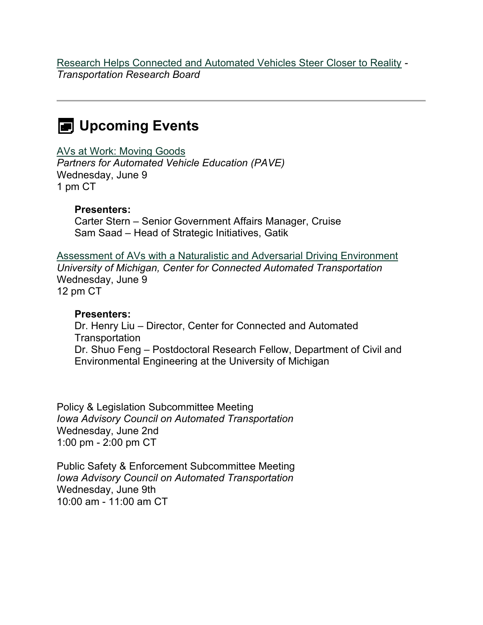[Research Helps Connected and Automated Vehicles Steer Closer to Reality](https://www.nationalacademies.org/trb/blog/research-helps-connected-and-automated-vehicles-steer-closer-to-reality?utm_medium=email&utm_source=govdelivery) *- Transportation Research Board*

## **EXED** Upcoming Events

[AVs at Work: Moving Goods](https://pavecampaign.org/event/pave-virtual-panel-avs-at-work-moving-goods/?utm_medium=email&utm_source=govdelivery)

*Partners for Automated Vehicle Education (PAVE)* Wednesday, June 9 1 pm CT

#### **Presenters:**

Carter Stern – Senior Government Affairs Manager, Cruise Sam Saad – Head of Strategic Initiatives, Gatik

[Assessment of AVs with a Naturalistic and Adversarial Driving Environment](https://www.eventbrite.com/e/assessment-of-avs-with-a-naturalistic-and-adversarial-driving-environment-tickets-154470584677?aff=Mailchimp&mc_cid=306afc6eea&mc_eid=86f0414fd9&utm_medium=email&utm_source=govdelivery) *University of Michigan, Center for Connected Automated Transportation* Wednesday, June 9 12 pm CT

#### **Presenters:**

Dr. Henry Liu – Director, Center for Connected and Automated **Transportation** Dr. Shuo Feng – Postdoctoral Research Fellow, Department of Civil and Environmental Engineering at the University of Michigan

Policy & Legislation Subcommittee Meeting *Iowa Advisory Council on Automated Transportation* Wednesday, June 2nd 1:00 pm - 2:00 pm CT

Public Safety & Enforcement Subcommittee Meeting *Iowa Advisory Council on Automated Transportation* Wednesday, June 9th 10:00 am - 11:00 am CT